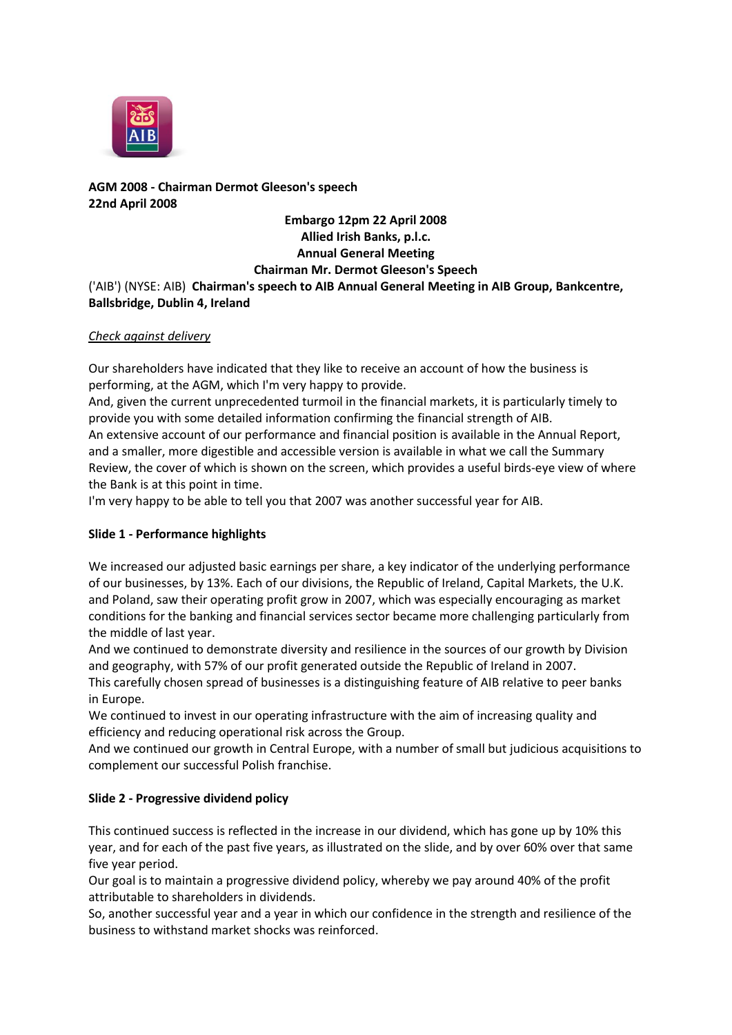

**AGM 2008 - Chairman Dermot Gleeson's speech 22nd April 2008**

# **Embargo 12pm 22 April 2008 Allied Irish Banks, p.l.c. Annual General Meeting Chairman Mr. Dermot Gleeson's Speech**

('AIB') (NYSE: AIB) **Chairman's speech to AIB Annual General Meeting in AIB Group, Bankcentre, Ballsbridge, Dublin 4, Ireland**

## *Check against delivery*

Our shareholders have indicated that they like to receive an account of how the business is performing, at the AGM, which I'm very happy to provide.

And, given the current unprecedented turmoil in the financial markets, it is particularly timely to provide you with some detailed information confirming the financial strength of AIB. An extensive account of our performance and financial position is available in the Annual Report, and a smaller, more digestible and accessible version is available in what we call the Summary Review, the cover of which is shown on the screen, which provides a useful birds-eye view of where the Bank is at this point in time.

I'm very happy to be able to tell you that 2007 was another successful year for AIB.

# **Slide 1 - Performance highlights**

We increased our adjusted basic earnings per share, a key indicator of the underlying performance of our businesses, by 13%. Each of our divisions, the Republic of Ireland, Capital Markets, the U.K. and Poland, saw their operating profit grow in 2007, which was especially encouraging as market conditions for the banking and financial services sector became more challenging particularly from the middle of last year.

And we continued to demonstrate diversity and resilience in the sources of our growth by Division and geography, with 57% of our profit generated outside the Republic of Ireland in 2007.

This carefully chosen spread of businesses is a distinguishing feature of AIB relative to peer banks in Europe.

We continued to invest in our operating infrastructure with the aim of increasing quality and efficiency and reducing operational risk across the Group.

And we continued our growth in Central Europe, with a number of small but judicious acquisitions to complement our successful Polish franchise.

# **Slide 2 - Progressive dividend policy**

This continued success is reflected in the increase in our dividend, which has gone up by 10% this year, and for each of the past five years, as illustrated on the slide, and by over 60% over that same five year period.

Our goal is to maintain a progressive dividend policy, whereby we pay around 40% of the profit attributable to shareholders in dividends.

So, another successful year and a year in which our confidence in the strength and resilience of the business to withstand market shocks was reinforced.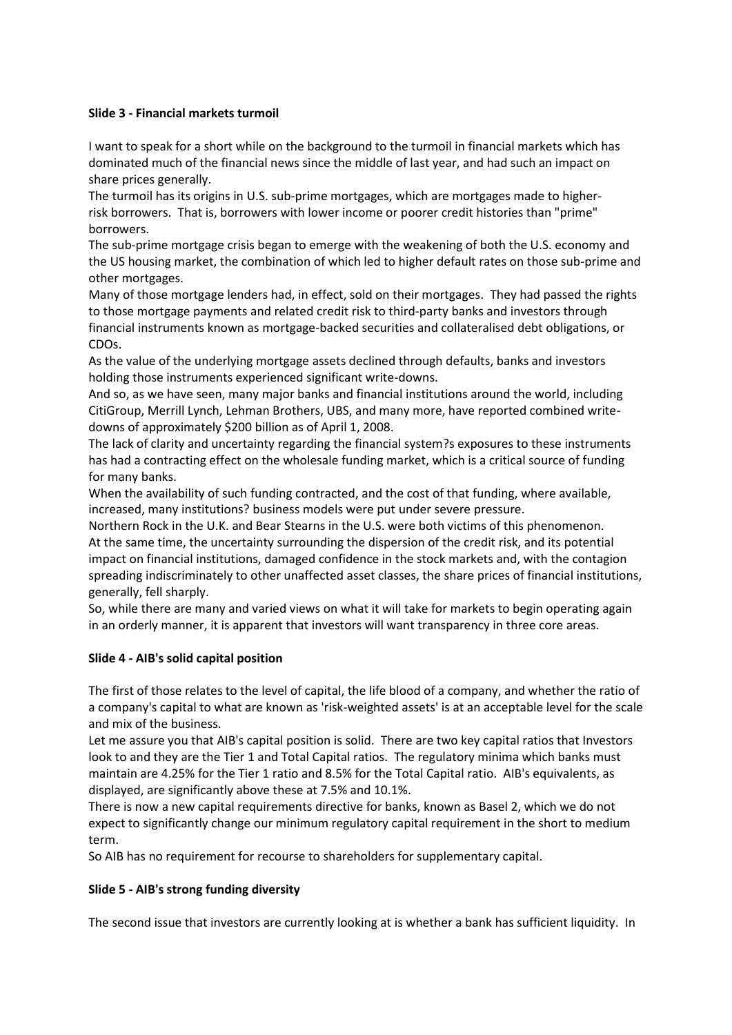## **Slide 3 - Financial markets turmoil**

I want to speak for a short while on the background to the turmoil in financial markets which has dominated much of the financial news since the middle of last year, and had such an impact on share prices generally.

The turmoil has its origins in U.S. sub-prime mortgages, which are mortgages made to higherrisk borrowers. That is, borrowers with lower income or poorer credit histories than "prime" borrowers.

The sub-prime mortgage crisis began to emerge with the weakening of both the U.S. economy and the US housing market, the combination of which led to higher default rates on those sub-prime and other mortgages.

Many of those mortgage lenders had, in effect, sold on their mortgages. They had passed the rights to those mortgage payments and related credit risk to third-party banks and investors through financial instruments known as mortgage-backed securities and collateralised debt obligations, or CDOs.

As the value of the underlying mortgage assets declined through defaults, banks and investors holding those instruments experienced significant write-downs.

And so, as we have seen, many major banks and financial institutions around the world, including CitiGroup, Merrill Lynch, Lehman Brothers, UBS, and many more, have reported combined writedowns of approximately \$200 billion as of April 1, 2008.

The lack of clarity and uncertainty regarding the financial system?s exposures to these instruments has had a contracting effect on the wholesale funding market, which is a critical source of funding for many banks.

When the availability of such funding contracted, and the cost of that funding, where available, increased, many institutions? business models were put under severe pressure.

Northern Rock in the U.K. and Bear Stearns in the U.S. were both victims of this phenomenon. At the same time, the uncertainty surrounding the dispersion of the credit risk, and its potential impact on financial institutions, damaged confidence in the stock markets and, with the contagion spreading indiscriminately to other unaffected asset classes, the share prices of financial institutions, generally, fell sharply.

So, while there are many and varied views on what it will take for markets to begin operating again in an orderly manner, it is apparent that investors will want transparency in three core areas.

# **Slide 4 - AIB's solid capital position**

The first of those relates to the level of capital, the life blood of a company, and whether the ratio of a company's capital to what are known as 'risk-weighted assets' is at an acceptable level for the scale and mix of the business.

Let me assure you that AIB's capital position is solid. There are two key capital ratios that Investors look to and they are the Tier 1 and Total Capital ratios. The regulatory minima which banks must maintain are 4.25% for the Tier 1 ratio and 8.5% for the Total Capital ratio. AIB's equivalents, as displayed, are significantly above these at 7.5% and 10.1%.

There is now a new capital requirements directive for banks, known as Basel 2, which we do not expect to significantly change our minimum regulatory capital requirement in the short to medium term.

So AIB has no requirement for recourse to shareholders for supplementary capital.

#### **Slide 5 - AIB's strong funding diversity**

The second issue that investors are currently looking at is whether a bank has sufficient liquidity. In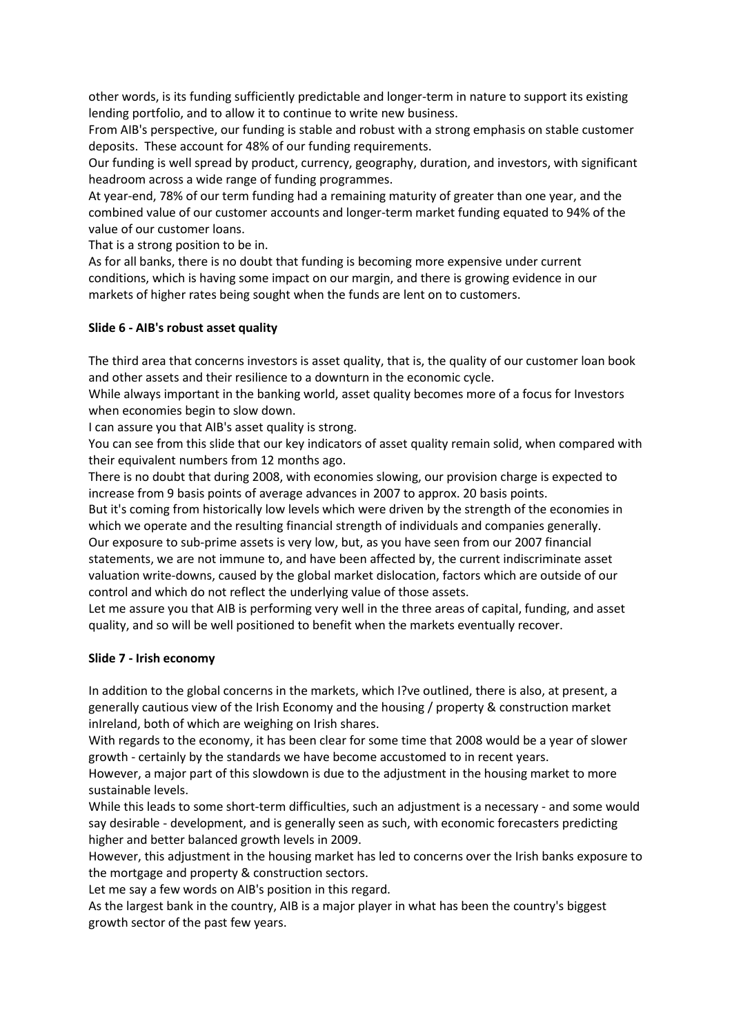other words, is its funding sufficiently predictable and longer-term in nature to support its existing lending portfolio, and to allow it to continue to write new business.

From AIB's perspective, our funding is stable and robust with a strong emphasis on stable customer deposits. These account for 48% of our funding requirements.

Our funding is well spread by product, currency, geography, duration, and investors, with significant headroom across a wide range of funding programmes.

At year-end, 78% of our term funding had a remaining maturity of greater than one year, and the combined value of our customer accounts and longer-term market funding equated to 94% of the value of our customer loans.

That is a strong position to be in.

As for all banks, there is no doubt that funding is becoming more expensive under current conditions, which is having some impact on our margin, and there is growing evidence in our markets of higher rates being sought when the funds are lent on to customers.

## **Slide 6 - AIB's robust asset quality**

The third area that concerns investors is asset quality, that is, the quality of our customer loan book and other assets and their resilience to a downturn in the economic cycle.

While always important in the banking world, asset quality becomes more of a focus for Investors when economies begin to slow down.

I can assure you that AIB's asset quality is strong.

You can see from this slide that our key indicators of asset quality remain solid, when compared with their equivalent numbers from 12 months ago.

There is no doubt that during 2008, with economies slowing, our provision charge is expected to increase from 9 basis points of average advances in 2007 to approx. 20 basis points.

But it's coming from historically low levels which were driven by the strength of the economies in which we operate and the resulting financial strength of individuals and companies generally. Our exposure to sub-prime assets is very low, but, as you have seen from our 2007 financial statements, we are not immune to, and have been affected by, the current indiscriminate asset valuation write-downs, caused by the global market dislocation, factors which are outside of our control and which do not reflect the underlying value of those assets.

Let me assure you that AIB is performing very well in the three areas of capital, funding, and asset quality, and so will be well positioned to benefit when the markets eventually recover.

#### **Slide 7 - Irish economy**

In addition to the global concerns in the markets, which I?ve outlined, there is also, at present, a generally cautious view of the Irish Economy and the housing / property & construction market inIreland, both of which are weighing on Irish shares.

With regards to the economy, it has been clear for some time that 2008 would be a year of slower growth - certainly by the standards we have become accustomed to in recent years.

However, a major part of this slowdown is due to the adjustment in the housing market to more sustainable levels.

While this leads to some short-term difficulties, such an adjustment is a necessary - and some would say desirable - development, and is generally seen as such, with economic forecasters predicting higher and better balanced growth levels in 2009.

However, this adjustment in the housing market has led to concerns over the Irish banks exposure to the mortgage and property & construction sectors.

Let me say a few words on AIB's position in this regard.

As the largest bank in the country, AIB is a major player in what has been the country's biggest growth sector of the past few years.